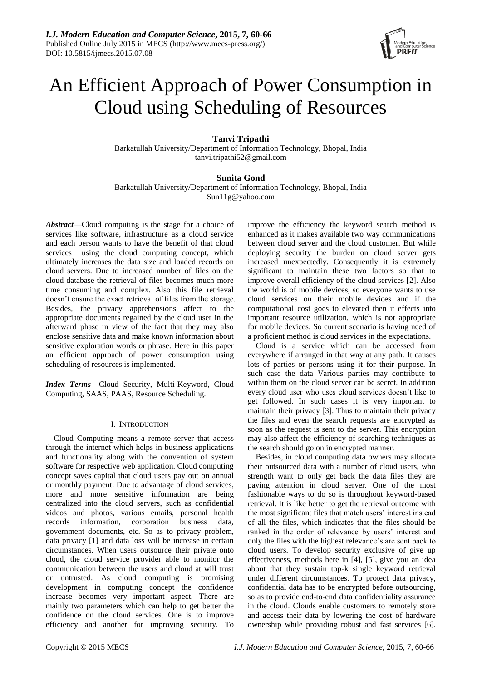

# An Efficient Approach of Power Consumption in Cloud using Scheduling of Resources

# **Tanvi Tripathi**

Barkatullah University/Department of Information Technology, Bhopal, India tanvi.tripathi52@gmail.com

## **Sunita Gond**

Barkatullah University/Department of Information Technology, Bhopal, India Sun11g@yahoo.com

*Abstract*—Cloud computing is the stage for a choice of services like software, infrastructure as a cloud service and each person wants to have the benefit of that cloud services using the cloud computing concept, which ultimately increases the data size and loaded records on cloud servers. Due to increased number of files on the cloud database the retrieval of files becomes much more time consuming and complex. Also this file retrieval doesn't ensure the exact retrieval of files from the storage. Besides, the privacy apprehensions affect to the appropriate documents regained by the cloud user in the afterward phase in view of the fact that they may also enclose sensitive data and make known information about sensitive exploration words or phrase. Here in this paper an efficient approach of power consumption using scheduling of resources is implemented.

*Index Terms*—Cloud Security, Multi-Keyword, Cloud Computing, SAAS, PAAS, Resource Scheduling.

## I. INTRODUCTION

Cloud Computing means a remote server that access through the internet which helps in business applications and functionality along with the convention of system software for respective web application. Cloud computing concept saves capital that cloud users pay out on annual or monthly payment. Due to advantage of cloud services, more and more sensitive information are being centralized into the cloud servers, such as confidential videos and photos, various emails, personal health records information, corporation business data, government documents, etc. So as to privacy problem, data privacy [1] and data loss will be increase in certain circumstances. When users outsource their private onto cloud, the cloud service provider able to monitor the communication between the users and cloud at will trust or untrusted. As cloud computing is promising development in computing concept the confidence increase becomes very important aspect. There are mainly two parameters which can help to get better the confidence on the cloud services. One is to improve efficiency and another for improving security. To

improve the efficiency the keyword search method is enhanced as it makes available two way communications between cloud server and the cloud customer. But while deploying security the burden on cloud server gets increased unexpectedly. Consequently it is extremely significant to maintain these two factors so that to improve overall efficiency of the cloud services [2]. Also the world is of mobile devices, so everyone wants to use cloud services on their mobile devices and if the computational cost goes to elevated then it effects into important resource utilization, which is not appropriate for mobile devices. So current scenario is having need of a proficient method is cloud services in the expectations.

Cloud is a service which can be accessed from everywhere if arranged in that way at any path. It causes lots of parties or persons using it for their purpose. In such case the data Various parties may contribute to within them on the cloud server can be secret. In addition every cloud user who uses cloud services doesn't like to get followed. In such cases it is very important to maintain their privacy [3]. Thus to maintain their privacy the files and even the search requests are encrypted as soon as the request is sent to the server. This encryption may also affect the efficiency of searching techniques as the search should go on in encrypted manner.

Besides, in cloud computing data owners may allocate their outsourced data with a number of cloud users, who strength want to only get back the data files they are paying attention in cloud server. One of the most fashionable ways to do so is throughout keyword-based retrieval. It is like better to get the retrieval outcome with the most significant files that match users' interest instead of all the files, which indicates that the files should be ranked in the order of relevance by users' interest and only the files with the highest relevance's are sent back to cloud users. To develop security exclusive of give up effectiveness, methods here in [4], [5], give you an idea about that they sustain top-k single keyword retrieval under different circumstances. To protect data privacy, confidential data has to be encrypted before outsourcing, so as to provide end-to-end data confidentiality assurance in the cloud. Clouds enable customers to remotely store and access their data by lowering the cost of hardware ownership while providing robust and fast services [6].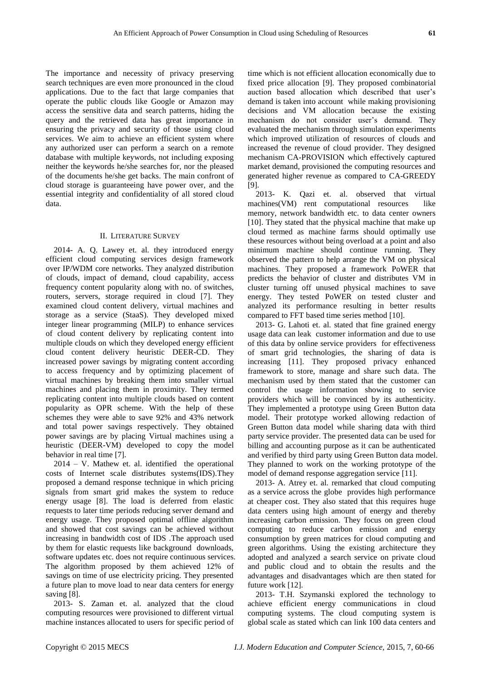The importance and necessity of privacy preserving search techniques are even more pronounced in the cloud applications. Due to the fact that large companies that operate the public clouds like Google or Amazon may access the sensitive data and search patterns, hiding the query and the retrieved data has great importance in ensuring the privacy and security of those using cloud services. We aim to achieve an efficient system where any authorized user can perform a search on a remote database with multiple keywords, not including exposing neither the keywords he/she searches for, nor the pleased of the documents he/she get backs. The main confront of

## II. LITERATURE SURVEY

cloud storage is guaranteeing have power over, and the essential integrity and confidentiality of all stored cloud

data.

2014- A. Q. Lawey et. al. they introduced energy efficient cloud computing services design framework over IP/WDM core networks. They analyzed distribution of clouds, impact of demand, cloud capability, access frequency content popularity along with no. of switches, routers, servers, storage required in cloud [7]. They examined cloud content delivery, virtual machines and storage as a service (StaaS). They developed mixed integer linear programming (MILP) to enhance services of cloud content delivery by replicating content into multiple clouds on which they developed energy efficient cloud content delivery heuristic DEER-CD. They increased power savings by migrating content according to access frequency and by optimizing placement of virtual machines by breaking them into smaller virtual machines and placing them in proximity. They termed replicating content into multiple clouds based on content popularity as OPR scheme. With the help of these schemes they were able to save 92% and 43% network and total power savings respectively. They obtained power savings are by placing Virtual machines using a heuristic (DEER-VM) developed to copy the model behavior in real time [7].

2014 – V. Mathew et. al. identified the operational costs of Internet scale distributes systems(IDS).They proposed a demand response technique in which pricing signals from smart grid makes the system to reduce energy usage [8]. The load is deferred from elastic requests to later time periods reducing server demand and energy usage. They proposed optimal offline algorithm and showed that cost savings can be achieved without increasing in bandwidth cost of IDS .The approach used by them for elastic requests like background downloads, software updates etc. does not require continuous services. The algorithm proposed by them achieved 12% of savings on time of use electricity pricing. They presented a future plan to move load to near data centers for energy saving [8].

2013- S. Zaman et. al. analyzed that the cloud computing resources were provisioned to different virtual machine instances allocated to users for specific period of time which is not efficient allocation economically due to fixed price allocation [9]. They proposed combinatorial auction based allocation which described that user's demand is taken into account while making provisioning decisions and VM allocation because the existing mechanism do not consider user's demand. They evaluated the mechanism through simulation experiments which improved utilization of resources of clouds and increased the revenue of cloud provider. They designed mechanism CA-PROVISION which effectively captured market demand, provisioned the computing resources and generated higher revenue as compared to CA-GREEDY [9].

2013- K. Qazi et. al. observed that virtual machines(VM) rent computational resources like memory, network bandwidth etc. to data center owners [10]. They stated that the physical machine that make up cloud termed as machine farms should optimally use these resources without being overload at a point and also minimum machine should continue running. They observed the pattern to help arrange the VM on physical machines. They proposed a framework PoWER that predicts the behavior of cluster and distributes VM in cluster turning off unused physical machines to save energy. They tested PoWER on tested cluster and analyzed its performance resulting in better results compared to FFT based time series method [10].

2013- G. Lahoti et. al. stated that fine grained energy usage data can leak customer information and due to use of this data by online service providers for effectiveness of smart grid technologies, the sharing of data is increasing [11]. They proposed privacy enhanced framework to store, manage and share such data. The mechanism used by them stated that the customer can control the usage information showing to service providers which will be convinced by its authenticity. They implemented a prototype using Green Button data model. Their prototype worked allowing redaction of Green Button data model while sharing data with third party service provider. The presented data can be used for billing and accounting purpose as it can be authenticated and verified by third party using Green Button data model. They planned to work on the working prototype of the model of demand response aggregation service [11].

2013- A. Atrey et. al. remarked that cloud computing as a service across the globe provides high performance at cheaper cost. They also stated that this requires huge data centers using high amount of energy and thereby increasing carbon emission. They focus on green cloud computing to reduce carbon emission and energy consumption by green matrices for cloud computing and green algorithms. Using the existing architecture they adopted and analyzed a search service on private cloud and public cloud and to obtain the results and the advantages and disadvantages which are then stated for future work [12].

2013- T.H. Szymanski explored the technology to achieve efficient energy communications in cloud computing systems. The cloud computing system is global scale as stated which can link 100 data centers and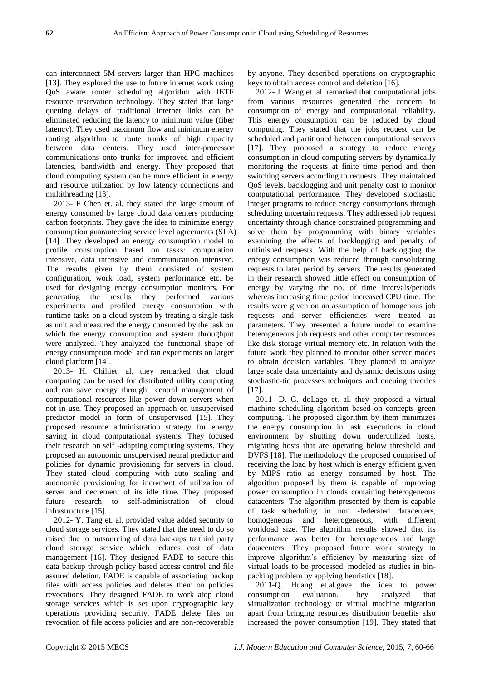can interconnect 5M servers larger than HPC machines [13]. They explored the use to future internet work using QoS aware router scheduling algorithm with IETF resource reservation technology. They stated that large queuing delays of traditional internet links can be eliminated reducing the latency to minimum value (fiber latency). They used maximum flow and minimum energy routing algorithm to route trunks of high capacity between data centers. They used inter-processor communications onto trunks for improved and efficient latencies, bandwidth and energy. They proposed that cloud computing system can be more efficient in energy and resource utilization by low latency connections and multithreading [13].

2013- F Chen et. al. they stated the large amount of energy consumed by large cloud data centers producing carbon footprints. They gave the idea to minimize energy consumption guaranteeing service level agreements (SLA) [14] .They developed an energy consumption model to profile consumption based on tasks: computation intensive, data intensive and communication intensive. The results given by them consisted of system configuration, work load, system performance etc. be used for designing energy consumption monitors. For generating the results they performed various experiments and profiled energy consumption with runtime tasks on a cloud system by treating a single task as unit and measured the energy consumed by the task on which the energy consumption and system throughput were analyzed. They analyzed the functional shape of energy consumption model and ran experiments on larger cloud platform [14].

2013- H. Chihiet. al. they remarked that cloud computing can be used for distributed utility computing and can save energy through central management of computational resources like power down servers when not in use. They proposed an approach on unsupervised predictor model in form of unsupervised [15]. They proposed resource administration strategy for energy saving in cloud computational systems. They focused their research on self -adapting computing systems. They proposed an autonomic unsupervised neural predictor and policies for dynamic provisioning for servers in cloud. They stated cloud computing with auto scaling and autonomic provisioning for increment of utilization of server and decrement of its idle time. They proposed future research to self-administration of cloud infrastructure [15].

2012- Y. Tang et. al. provided value added security to cloud storage services. They stated that the need to do so raised due to outsourcing of data backups to third party cloud storage service which reduces cost of data management [16]. They designed FADE to secure this data backup through policy based access control and file assured deletion. FADE is capable of associating backup files with access policies and deletes them on policies revocations. They designed FADE to work atop cloud storage services which is set upon cryptographic key operations providing security. FADE delete files on revocation of file access policies and are non-recoverable

by anyone. They described operations on cryptographic keys to obtain access control and deletion [16].

2012- J. Wang et. al. remarked that computational jobs from various resources generated the concern to consumption of energy and computational reliability. This energy consumption can be reduced by cloud computing. They stated that the jobs request can be scheduled and partitioned between computational servers [17]. They proposed a strategy to reduce energy consumption in cloud computing servers by dynamically monitoring the requests at finite time period and then switching servers according to requests. They maintained QoS levels, backlogging and unit penalty cost to monitor computational performance. They developed stochastic integer programs to reduce energy consumptions through scheduling uncertain requests. They addressed job request uncertainty through chance constrained programming and solve them by programming with binary variables examining the effects of backlogging and penalty of unfinished requests. With the help of backlogging the energy consumption was reduced through consolidating requests to later period by servers. The results generated in their research showed little effect on consumption of energy by varying the no. of time intervals/periods whereas increasing time period increased CPU time. The results were given on an assumption of homogenous job requests and server efficiencies were treated as parameters. They presented a future model to examine heterogeneous job requests and other computer resources like disk storage virtual memory etc. In relation with the future work they planned to monitor other server modes to obtain decision variables. They planned to analyze large scale data uncertainty and dynamic decisions using stochastic-tic processes techniques and queuing theories [17].

2011- D. G. doLago et. al. they proposed a virtual machine scheduling algorithm based on concepts green computing. The proposed algorithm by them minimizes the energy consumption in task executions in cloud environment by shutting down underutilized hosts, migrating hosts that are operating below threshold and DVFS [18]. The methodology the proposed comprised of receiving the load by host which is energy efficient given by MIPS ratio as energy consumed by host. The algorithm proposed by them is capable of improving power consumption in clouds containing heterogeneous datacenters. The algorithm presented by them is capable of task scheduling in non -federated datacenters, homogeneous and heterogeneous, with different workload size. The algorithm results showed that its performance was better for heterogeneous and large datacenters. They proposed future work strategy to improve algorithm's efficiency by measuring size of virtual loads to be processed, modeled as studies in binpacking problem by applying heuristics [18].

2011-Q. Huang et.al.gave the idea to power consumption evaluation. They analyzed that virtualization technology or virtual machine migration apart from bringing resources distribution benefits also increased the power consumption [19]. They stated that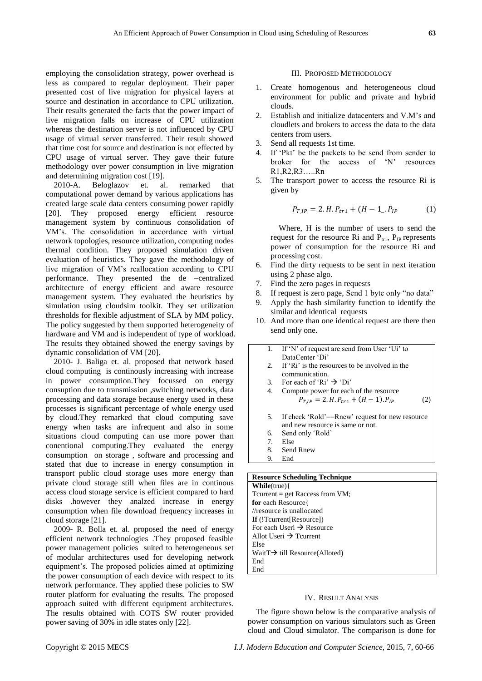employing the consolidation strategy, power overhead is less as compared to regular deployment. Their paper presented cost of live migration for physical layers at source and destination in accordance to CPU utilization. Their results generated the facts that the power impact of live migration falls on increase of CPU utilization whereas the destination server is not influenced by CPU usage of virtual server transferred. Their result showed that time cost for source and destination is not effected by CPU usage of virtual server. They gave their future methodology over power consumption in live migration and determining migration cost [19].

2010-A. Beloglazov et. al. remarked that computational power demand by various applications has created large scale data centers consuming power rapidly [20]. They proposed energy efficient resource management system by continuous consolidation of VM's. The consolidation in accordance with virtual network topologies, resource utilization, computing nodes thermal condition. They proposed simulation driven evaluation of heuristics. They gave the methodology of live migration of VM's reallocation according to CPU performance. They presented the de –centralized architecture of energy efficient and aware resource management system. They evaluated the heuristics by simulation using cloudsim toolkit. They set utilization thresholds for flexible adjustment of SLA by MM policy. The policy suggested by them supported heterogeneity of hardware and VM and is independent of type of workload. The results they obtained showed the energy savings by dynamic consolidation of VM [20].

2010- J. Baliga et. al. proposed that network based cloud computing is continously increasing with increase in power consumption.They focussed on energy consuption due to transmission ,switching networks, data processing and data storage because energy used in these processes is significant percentage of whole energy used by cloud.They remarked that cloud computing save energy when tasks are infrequent and also in some situations cloud computing can use more power than conentional computing.They evaluated the energy consumption on storage , software and processing and stated that due to increase in energy consumption in transport public cloud storage uses more energy than private cloud storage still when files are in continous access cloud storage service is efficient compared to hard disks .however they analzed increase in energy consumption when file download frequency increases in cloud storage [21].

2009- R. Bolla et. al. proposed the need of energy efficient network technologies .They proposed feasible power management policies suited to heterogeneous set of modular architectures used for developing network equipment's. The proposed policies aimed at optimizing the power consumption of each device with respect to its network performance. They applied these policies to SW router platform for evaluating the results. The proposed approach suited with different equipment architectures. The results obtained with COTS SW router provided power saving of 30% in idle states only [22].

#### III. PROPOSED METHODOLOGY

- 1. Create homogenous and heterogeneous cloud environment for public and private and hybrid clouds.
- 2. Establish and initialize datacenters and V.M's and cloudlets and brokers to access the data to the data centers from users.
- 3. Send all requests 1st time.
- 4. If ‗Pkt' be the packets to be send from sender to broker for the access of 'N' resources R1,R2,R3…..Rn
- 5. The transport power to access the resource Ri is given by

$$
P_{T,IP} = 2.H.P_{tr1} + (H - 1.P_{IP})
$$
 (1)

Where, H is the number of users to send the request for the resource Ri and  $P_{tr1}$ ,  $P_{IP}$  represents power of consumption for the resource Ri and processing cost.

- 6. Find the dirty requests to be sent in next iteration using 2 phase algo.
- 7. Find the zero pages in requests
- 8. If request is zero page, Send 1 byte only "no data"
- 9. Apply the hash similarity function to identify the similar and identical requests
- 10. And more than one identical request are there then send only one.

| 1.             | If 'N' of request are send from User 'Ui' to      |
|----------------|---------------------------------------------------|
|                | DataCenter 'Di'                                   |
|                | 2. If 'Ri' is the resources to be involved in the |
|                | communication.                                    |
| 3 <sub>1</sub> | For each of 'Ri' $\rightarrow$ 'Di'               |
| 4.             | Compute power for each of the resource            |
|                | $P_{T,IP} = 2.H.P_{tr1} + (H - 1).P_{IP}$         |
|                |                                                   |
| 5.             | If check 'Rold'==Rnew' request for new resource   |
|                | and new resource is same or not.                  |
| 6.             | Send only 'Rold'                                  |
| 7 <sub>1</sub> | Else                                              |
| 8.             | Send Rnew                                         |
| 9.             | End                                               |
|                |                                                   |

# **Resource Scheduling Technique**

**While**(true){ Tcurrent = get Raccess from VM; **for** each Resource{ //resource is unallocated **If** (!Tcurrent[Resource]) For each Useri  $\rightarrow$  Resource Allot Useri  $\rightarrow$  Tcurrent Else Wait $T \rightarrow$  till Resource(Alloted) End End

#### IV. RESULT ANALYSIS

The figure shown below is the comparative analysis of power consumption on various simulators such as Green cloud and Cloud simulator. The comparison is done for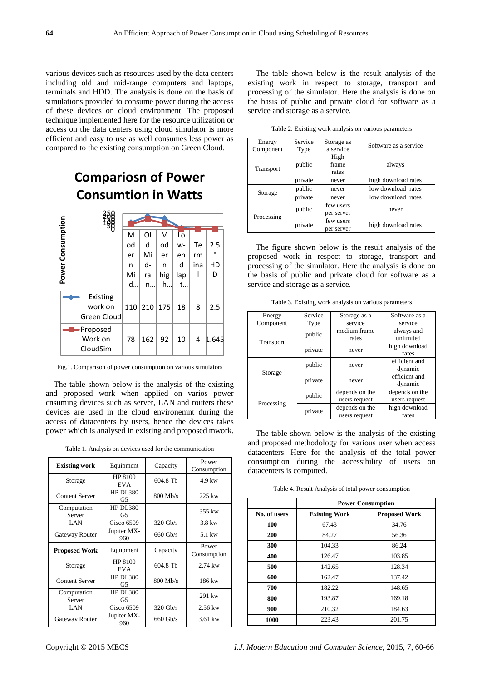various devices such as resources used by the data centers including old and mid-range computers and laptops, terminals and HDD. The analysis is done on the basis of simulations provided to consume power during the access of these devices on cloud environment. The proposed technique implemented here for the resource utilization or access on the data centers using cloud simulator is more efficient and easy to use as well consumes less power as compared to the existing consumption on Green Cloud.



Fig.1. Comparison of power consumption on various simulators

The table shown below is the analysis of the existing and proposed work when applied on varios power cnsuming devices such as server, LAN and routers these devices are used in the cloud environemnt during the access of datacenters by users, hence the devices takes power which is analysed in existing and proposed mwork.

Table 1. Analysis on devices used for the communication

| <b>Existing work</b>                    | Equipment             | Capacity   | Power<br>Consumption |
|-----------------------------------------|-----------------------|------------|----------------------|
| Storage                                 | HP 8100<br><b>EVA</b> | 604.8 Tb   | $4.9 \text{kw}$      |
| <b>Content Server</b>                   | HP DL380<br>G5        | 800 Mb/s   | 225 kw               |
| Computation<br>Server                   | <b>HP DL380</b><br>G5 |            | 355 kw               |
| LAN                                     | <b>Cisco 6509</b>     | 320 Gb/s   | $3.8 \text{ kW}$     |
| Gateway Router                          | Jupiter MX-<br>960    | $660$ Gb/s | $5.1 \text{kw}$      |
| <b>Proposed Work</b>                    | Equipment             | Capacity   | Power<br>Consumption |
| Storage                                 | HP 8100<br><b>EVA</b> | 604.8 Tb   | $2.74$ kw            |
| <b>Content Server</b>                   | <b>HP DL380</b><br>G5 | 800 Mb/s   | 186 kw               |
| HP DL380<br>Computation<br>Server<br>G5 |                       |            | 291 kw               |
| LAN                                     | Cisco 6509            | 320 Gb/s   | 2.56 kw              |
| Gateway Router                          | Jupiter MX-<br>960    | $660$ Gb/s | $3.61$ kw            |

The table shown below is the result analysis of the existing work in respect to storage, transport and processing of the simulator. Here the analysis is done on the basis of public and private cloud for software as a service and storage as a service.

Table 2. Existing work analysis on various parameters

| Energy     | Service | Storage as | Software as a service |  |
|------------|---------|------------|-----------------------|--|
| Component  | Type    | a service  |                       |  |
|            | public  | High       |                       |  |
|            |         | frame      | always                |  |
| Transport  |         | rates      |                       |  |
|            | private | never      | high download rates   |  |
|            | public  | never      | low download rates    |  |
| Storage    | private | never      | low download rates    |  |
|            | public  | few users  |                       |  |
|            |         | per server | never                 |  |
| Processing | private | few users  |                       |  |
|            |         | per server | high download rates   |  |

The figure shown below is the result analysis of the proposed work in respect to storage, transport and processing of the simulator. Here the analysis is done on the basis of public and private cloud for software as a service and storage as a service.

Table 3. Existing work analysis on various parameters

| Energy     | Service | Storage as a   | Software as a  |
|------------|---------|----------------|----------------|
| Component  | Type    | service        | service        |
|            | public  | medium frame   | always and     |
| Transport  |         | rates          | unlimited      |
|            | private | high download  |                |
|            |         | never          | rates          |
|            | public  | never          | efficient and  |
| Storage    |         |                | dynamic        |
|            | private | never          | efficient and  |
|            |         |                | dynamic        |
|            |         | depends on the | depends on the |
| Processing | public  | users request  | users request  |
|            | private | depends on the | high download  |
|            |         | users request  | rates          |

The table shown below is the analysis of the existing and proposed methodology for various user when access datacenters. Here for the analysis of the total power consumption during the accessibility of users on datacenters is computed.

Table 4. Result Analysis of total power consumption

|              | <b>Power Consumption</b> |                      |  |
|--------------|--------------------------|----------------------|--|
| No. of users | <b>Existing Work</b>     | <b>Proposed Work</b> |  |
| 100          | 67.43                    | 34.76                |  |
| 200          | 84.27                    | 56.36                |  |
| 300          | 104.33                   | 86.24                |  |
| 400          | 126.47                   | 103.85               |  |
| 500          | 142.65                   | 128.34               |  |
| 600          | 162.47                   | 137.42               |  |
| 700          | 182.22                   | 148.65               |  |
| 800          | 193.87                   | 169.18               |  |
| 900          | 210.32                   | 184.63               |  |
| 1000         | 223.43                   | 201.75               |  |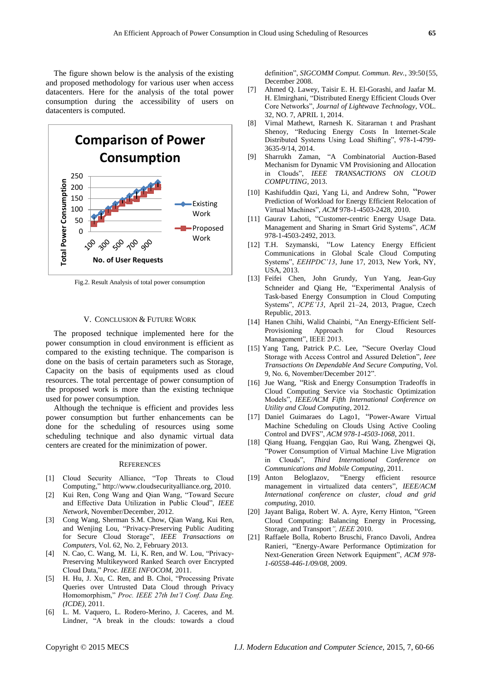The figure shown below is the analysis of the existing and proposed methodology for various user when access datacenters. Here for the analysis of the total power consumption during the accessibility of users on datacenters is computed.



Fig.2. Result Analysis of total power consumption

#### V. CONCLUSION & FUTURE WORK

The proposed technique implemented here for the power consumption in cloud environment is efficient as compared to the existing technique. The comparison is done on the basis of certain parameters such as Storage, Capacity on the basis of equipments used as cloud resources. The total percentage of power consumption of the proposed work is more than the existing technique used for power consumption.

Although the technique is efficient and provides less power consumption but further enhancements can be done for the scheduling of resources using some scheduling technique and also dynamic virtual data centers are created for the minimization of power.

### **REFERENCES**

- [1] Cloud Security Alliance, "Top Threats to Cloud Computing," http://www.cloudsecurityalliance.org, 2010.
- [2] Kui Ren, Cong Wang and Qian Wang, "Toward Secure and Effective Data Utilization in Public Cloud", *IEEE Network*, November/December, 2012.
- [3] Cong Wang, Sherman S.M. Chow, Qian Wang, Kui Ren, and Wenjing Lou, "Privacy-Preserving Public Auditing for Secure Cloud Storage", **IEEE** Transactions on *Computers*, Vol. 62, No. 2, February 2013.
- [4] N. Cao, C. Wang, M. Li, K. Ren, and W. Lou, "Privacy-Preserving Multikeyword Ranked Search over Encrypted Cloud Data,‖ *Proc. IEEE INFOCOM*, 2011.
- [5] H. Hu, J. Xu, C. Ren, and B. Choi, "Processing Private Queries over Untrusted Data Cloud through Privacy Homomorphism,‖ *Proc. IEEE 27th Int'l Conf. Data Eng. (ICDE)*, 2011.
- [6] L. M. Vaquero, L. Rodero-Merino, J. Caceres, and M. Lindner, "A break in the clouds: towards a cloud

definition". *SIGCOMM Comput. Commun. Rev.*, 39:50{55, December 2008.

- [7] Ahmed Q. Lawey, Taisir E. H. El-Gorashi, and Jaafar M. H. Elmirghani, "Distributed Energy Efficient Clouds Over Core Networks‖, *Journal of Lightwave Technology*, VOL. 32, NO. 7, APRIL 1, 2014.
- [8] Virnal Mathewt, Rarnesh K. Sitararnan t and Prashant Shenoy, "Reducing Energy Costs In Internet-Scale Distributed Systems Using Load Shifting", 978-1-4799-3635-9/14, 2014.
- [9] Sharrukh Zaman, "A Combinatorial Auction-Based Mechanism for Dynamic VM Provisioning and Allocation in Clouds", **IEEE TRANSACTIONS** ON CLOUD *COMPUTING*, 2013.
- [10] Kashifuddin Qazi, Yang Li, and Andrew Sohn, "Power Prediction of Workload for Energy Efficient Relocation of Virtual Machines‖, *ACM* 978-1-4503-2428, 2010.
- [11] Gaurav Lahoti, "Customer-centric Energy Usage Data. Management and Sharing in Smart Grid Systems", *ACM* 978-1-4503-2492, 2013.
- [12] T.H. Szymanski, "Low Latency Energy Efficient Communications in Global Scale Cloud Computing Systems", *EEHPDC'13*, June 17, 2013, New York, NY, USA, 2013.
- [13] Feifei Chen, John Grundy, Yun Yang, Jean-Guy Schneider and Qiang He, "Experimental Analysis of Task-based Energy Consumption in Cloud Computing Systems‖, *ICPE'13*, April 21–24, 2013, Prague, Czech Republic, 2013.
- [14] Hanen Chihi, Walid Chainbi, "An Energy-Efficient Self-Provisioning Approach for Cloud Resources Management", IEEE 2013.
- [15] Yang Tang, Patrick P.C. Lee, "Secure Overlay Cloud Storage with Access Control and Assured Deletion", *Ieee Transactions On Dependable And Secure Computing*, Vol. 9, No. 6, November/December 2012".
- [16] Jue Wang, "Risk and Energy Consumption Tradeoffs in Cloud Computing Service via Stochastic Optimization Models‖, *IEEE/ACM Fifth International Conference on Utility and Cloud Computing*, 2012.
- [17] Daniel Guimaraes do Lago1, "Power-Aware Virtual Machine Scheduling on Clouds Using Active Cooling Control and DVFS‖, *ACM 978-1-4503-1068*, 2011.
- [18] Qiang Huang, Fengqian Gao, Rui Wang, Zhengwei Qi, ―Power Consumption of Virtual Machine Live Migration in Clouds", *Third International Conference Communications and Mobile Computing*, 2011.
- [19] Anton Beloglazov, "Energy efficient resource management in virtualized data centers", IEEE/ACM *International conference on cluster, cloud and grid computing*, 2010.
- [20] Jayant Baliga, Robert W. A. Ayre, Kerry Hinton, "Green Cloud Computing: Balancing Energy in Processing, Storage, and Transport*", IEEE* 2010.
- [21] Raffaele Bolla, Roberto Bruschi, Franco Davoli, Andrea Ranieri, "Energy-Aware Performance Optimization for Next-Generation Green Network Equipment", *ACM 978-1-60558-446-1/09/08*, 2009.